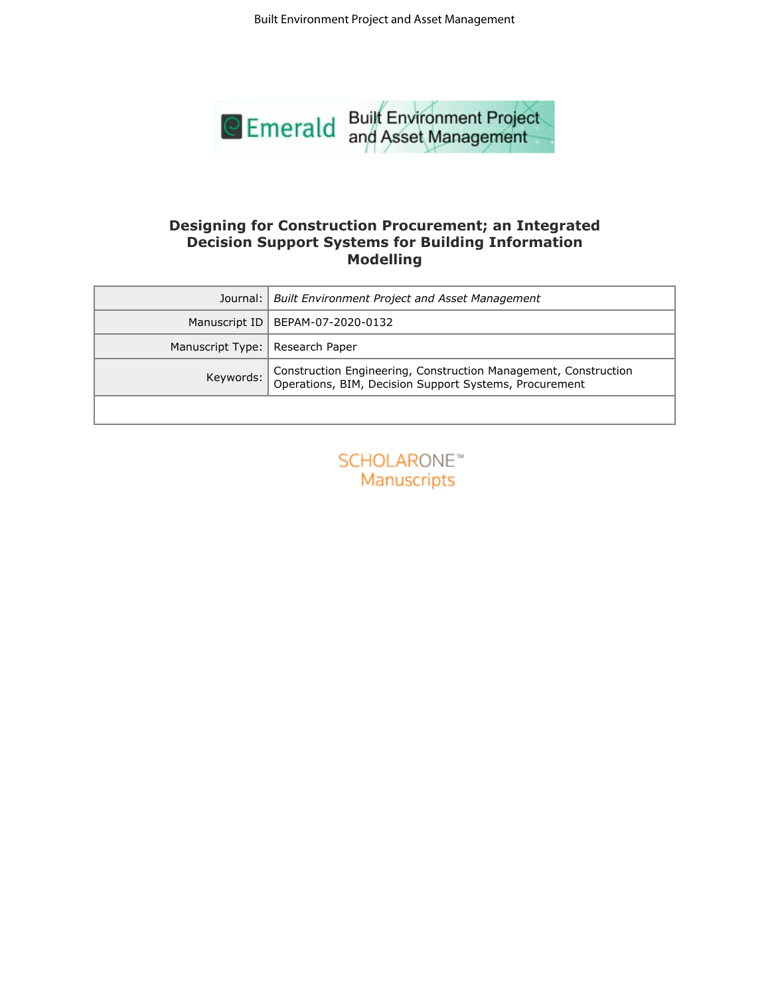

## **Designing for Construction Procurement; an Integrated Decision Support Systems for Building Information Modelling**

|                  | <b>Built Environment Project and Asset Management</b>                                                                                 |
|------------------|---------------------------------------------------------------------------------------------------------------------------------------|
|                  | <b>Emerald</b> Built Environment Project                                                                                              |
|                  | Designing for Construction Procurement; an Integrated<br><b>Decision Support Systems for Building Information</b><br><b>Modelling</b> |
| Journal:         | <b>Built Environment Project and Asset Management</b>                                                                                 |
| Manuscript ID    | BEPAM-07-2020-0132                                                                                                                    |
| Manuscript Type: | Research Paper                                                                                                                        |
| Keywords:        | Construction Engineering, Construction Management, Construction<br>Operations, BIM, Decision Support Systems, Procurement             |
|                  |                                                                                                                                       |
|                  |                                                                                                                                       |
|                  |                                                                                                                                       |
|                  |                                                                                                                                       |
|                  |                                                                                                                                       |

| <b>SCHOLARONE™</b> |                    |  |  |
|--------------------|--------------------|--|--|
|                    | <b>Manuscripts</b> |  |  |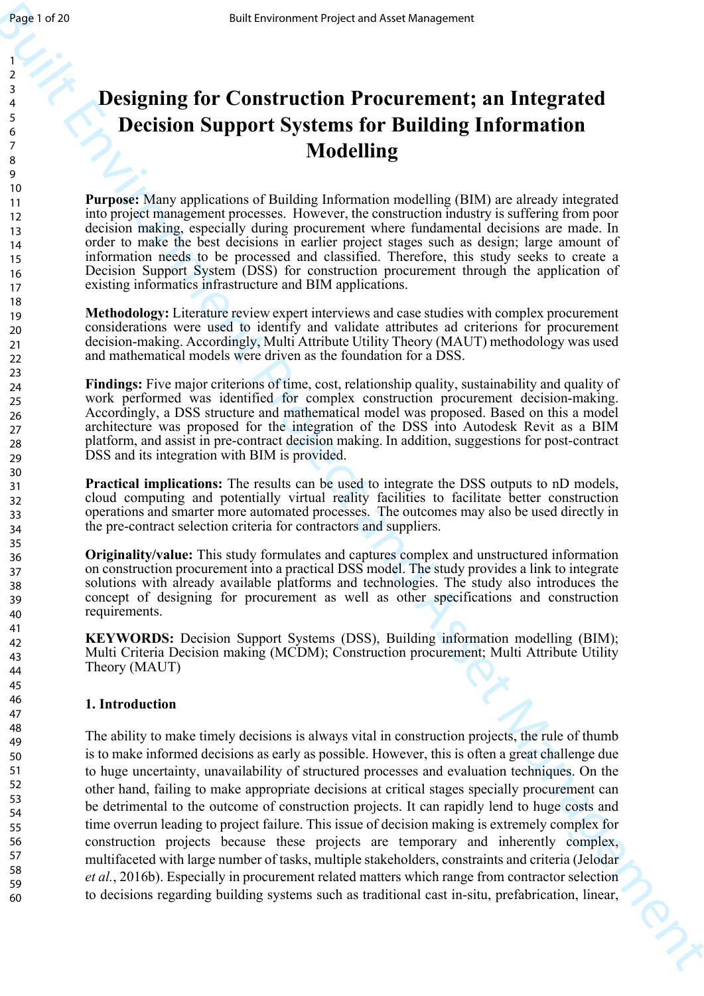# **Designing for Construction Procurement; an Integrated Decision Support Systems for Building Information Modelling**

**Purpose:** Many applications of Building Information modelling (BIM) are already integrated into project management processes. However, the construction industry is suffering from poor decision making, especially during procurement where fundamental decisions are made. In order to make the best decisions in earlier project stages such as design; large amount of information needs to be processed and classified. Therefore, this study seeks to create a Decision Support System (DSS) for construction procurement through the application of existing informatics infrastructure and BIM applications.

**Methodology:** Literature review expert interviews and case studies with complex procurement considerations were used to identify and validate attributes ad criterions for procurement decision-making. Accordingly, Multi Attribute Utility Theory (MAUT) methodology was used and mathematical models were driven as the foundation for a DSS.

**Findings:** Five major criterions of time, cost, relationship quality, sustainability and quality of work performed was identified for complex construction procurement decision-making. Accordingly, a DSS structure and mathematical model was proposed. Based on this a model architecture was proposed for the integration of the DSS into Autodesk Revit as a BIM platform, and assist in pre-contract decision making. In addition, suggestions for post-contract DSS and its integration with BIM is provided.

**Practical implications:** The results can be used to integrate the DSS outputs to nD models, cloud computing and potentially virtual reality facilities to facilitate better construction operations and smarter more automated processes. The outcomes may also be used directly in the pre-contract selection criteria for contractors and suppliers.

**Originality/value:** This study formulates and captures complex and unstructured information on construction procurement into a practical DSS model. The study provides a link to integrate solutions with already available platforms and technologies. The study also introduces the concept of designing for procurement as well as other specifications and construction requirements.

**KEYWORDS:** Decision Support Systems (DSS), Building information modelling (BIM); Multi Criteria Decision making (MCDM); Construction procurement; Multi Attribute Utility Theory (MAUT)

# **1. Introduction**

**Built Environment Project and Neuron Systems First and Neuron Systems First and Neuron Systems First Building Information<br>
2. Designing for Construction Procurement; an Integrated<br>
2. Decision Support Systems for Buildin** The ability to make timely decisions is always vital in construction projects, the rule of thumb is to make informed decisions as early as possible. However, this is often a great challenge due to huge uncertainty, unavailability of structured processes and evaluation techniques. On the other hand, failing to make appropriate decisions at critical stages specially procurement can be detrimental to the outcome of construction projects. It can rapidly lend to huge costs and time overrun leading to project failure. This issue of decision making is extremely complex for construction projects because these projects are temporary and inherently complex, multifaceted with large number of tasks, multiple stakeholders, constraints and criteria (Jelodar *et al.*, 2016b). Especially in procurement related matters which range from contractor selection to decisions regarding building systems such as traditional cast in-situ, prefabrication, linear,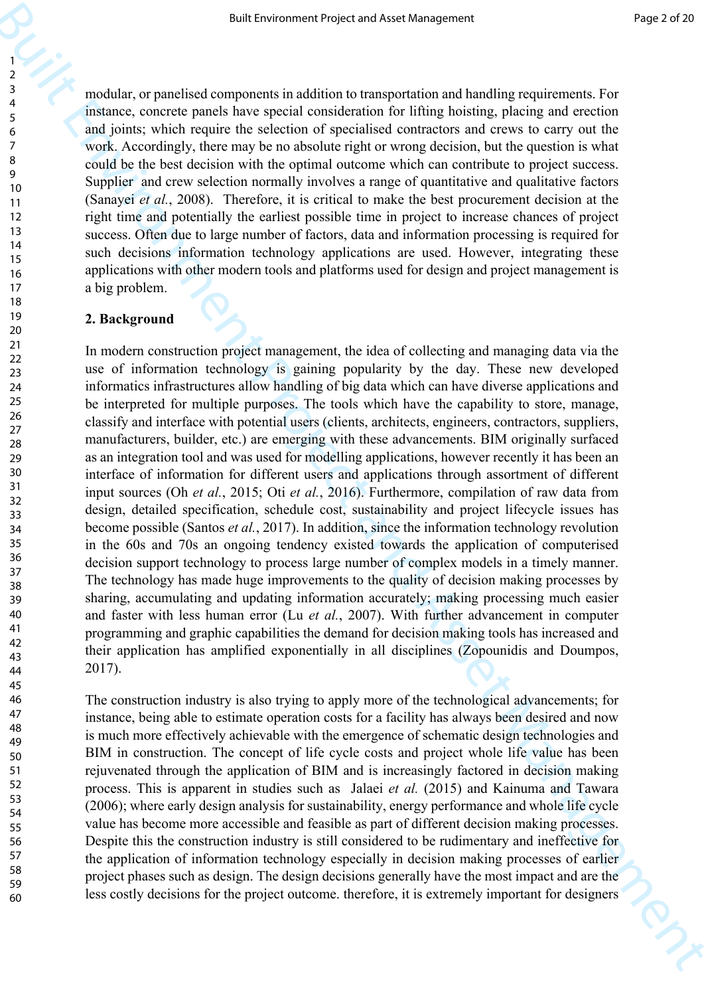modular, or panelised components in addition to transportation and handling requirements. For instance, concrete panels have special consideration for lifting hoisting, placing and erection and joints; which require the selection of specialised contractors and crews to carry out the work. Accordingly, there may be no absolute right or wrong decision, but the question is what could be the best decision with the optimal outcome which can contribute to project success. Supplier and crew selection normally involves a range of quantitative and qualitative factors (Sanayei *et al.*, 2008). Therefore, it is critical to make the best procurement decision at the right time and potentially the earliest possible time in project to increase chances of project success. Often due to large number of factors, data and information processing is required for such decisions information technology applications are used. However, integrating these applications with other modern tools and platforms used for design and project management is a big problem.

## **2. Background**

**Figure 1 Figure 2 Figure 2 Figure 2 Figure 2 Figure 2 Figure 2 Figure 2 Figure 2 Figure 2 Figure 2 Figure 2 Figure 2 Figure 2 Figure 2 Figure 2 Figure 2 Figure 2 Figure 2 Figure 2** In modern construction project management, the idea of collecting and managing data via the use of information technology is gaining popularity by the day. These new developed informatics infrastructures allow handling of big data which can have diverse applications and be interpreted for multiple purposes. The tools which have the capability to store, manage, classify and interface with potential users (clients, architects, engineers, contractors, suppliers, manufacturers, builder, etc.) are emerging with these advancements. BIM originally surfaced as an integration tool and was used for modelling applications, however recently it has been an interface of information for different users and applications through assortment of different input sources (Oh *et al.*, 2015; Oti *et al.*, 2016). Furthermore, compilation of raw data from design, detailed specification, schedule cost, sustainability and project lifecycle issues has become possible (Santos *et al.*, 2017). In addition, since the information technology revolution in the 60s and 70s an ongoing tendency existed towards the application of computerised decision support technology to process large number of complex models in a timely manner. The technology has made huge improvements to the quality of decision making processes by sharing, accumulating and updating information accurately; making processing much easier and faster with less human error (Lu *et al.*, 2007). With further advancement in computer programming and graphic capabilities the demand for decision making tools has increased and their application has amplified exponentially in all disciplines (Zopounidis and Doumpos, 2017).

The construction industry is also trying to apply more of the technological advancements; for instance, being able to estimate operation costs for a facility has always been desired and now is much more effectively achievable with the emergence of schematic design technologies and BIM in construction. The concept of life cycle costs and project whole life value has been rejuvenated through the application of BIM and is increasingly factored in decision making process. This is apparent in studies such as Jalaei *et al.* (2015) and Kainuma and Tawara (2006); where early design analysis for sustainability, energy performance and whole life cycle value has become more accessible and feasible as part of different decision making processes. Despite this the construction industry is still considered to be rudimentary and ineffective for the application of information technology especially in decision making processes of earlier project phases such as design. The design decisions generally have the most impact and are the less costly decisions for the project outcome. therefore, it is extremely important for designers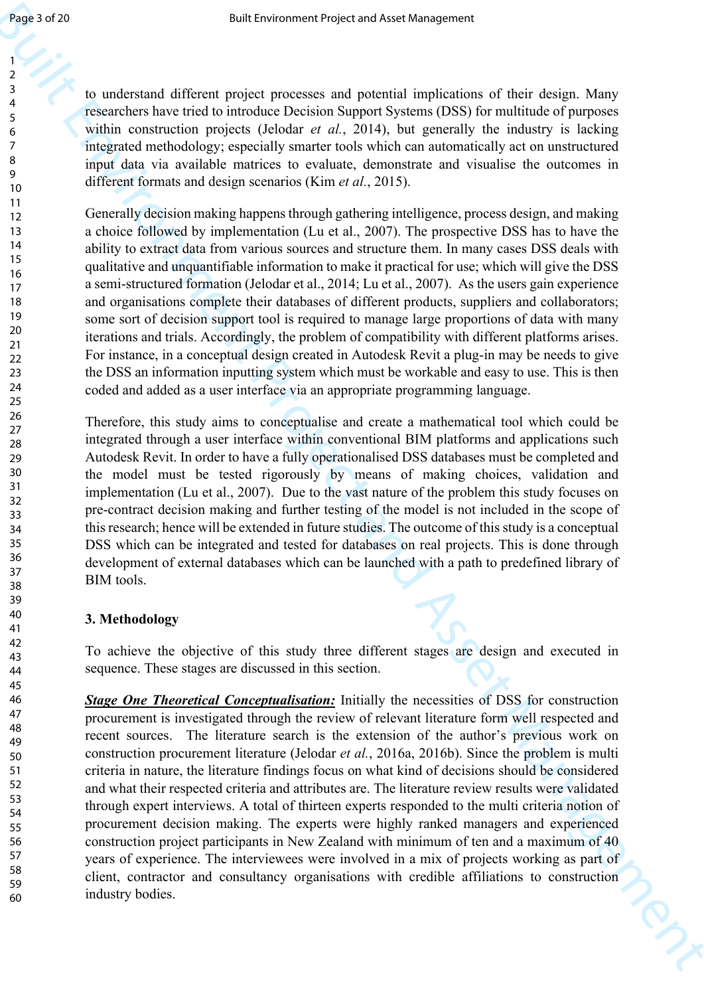to understand different project processes and potential implications of their design. Many researchers have tried to introduce Decision Support Systems (DSS) for multitude of purposes within construction projects (Jelodar *et al.*, 2014), but generally the industry is lacking integrated methodology; especially smarter tools which can automatically act on unstructured input data via available matrices to evaluate, demonstrate and visualise the outcomes in different formats and design scenarios (Kim *et al.*, 2015).

Generally decision making happens through gathering intelligence, process design, and making a choice followed by implementation (Lu et al., 2007). The prospective DSS has to have the ability to extract data from various sources and structure them. In many cases DSS deals with qualitative and unquantifiable information to make it practical for use; which will give the DSS a semi-structured formation (Jelodar et al., 2014; Lu et al., 2007). As the users gain experience and organisations complete their databases of different products, suppliers and collaborators; some sort of decision support tool is required to manage large proportions of data with many iterations and trials. Accordingly, the problem of compatibility with different platforms arises. For instance, in a conceptual design created in Autodesk Revit a plug-in may be needs to give the DSS an information inputting system which must be workable and easy to use. This is then coded and added as a user interface via an appropriate programming language.

Therefore, this study aims to conceptualise and create a mathematical tool which could be integrated through a user interface within conventional BIM platforms and applications such Autodesk Revit. In order to have a fully operationalised DSS databases must be completed and the model must be tested rigorously by means of making choices, validation and implementation (Lu et al., 2007). Due to the vast nature of the problem this study focuses on pre-contract decision making and further testing of the model is not included in the scope of this research; hence will be extended in future studies. The outcome of this study is a conceptual DSS which can be integrated and tested for databases on real projects. This is done through development of external databases which can be launched with a path to predefined library of BIM tools.

# **3. Methodology**

To achieve the objective of this study three different stages are design and executed in sequence. These stages are discussed in this section.

**Example 2.5**<br> **Example 2.4**<br> **Example 2.4**<br> **Example 2.4**<br> **Example 2.4**<br> **Example 2.4**<br> **Example 2.4**<br> **Example 2.4**<br> **Example 2.4**<br> **Example 2.4**<br> **Example 2.4**<br> **Example 2.4**<br> **Example 2.4**<br> **Example 2.4**<br> **Example 2.** *Stage One Theoretical Conceptualisation:* Initially the necessities of DSS for construction procurement is investigated through the review of relevant literature form well respected and recent sources. The literature search is the extension of the author's previous work on construction procurement literature (Jelodar *et al.*, 2016a, 2016b). Since the problem is multi criteria in nature, the literature findings focus on what kind of decisions should be considered and what their respected criteria and attributes are. The literature review results were validated through expert interviews. A total of thirteen experts responded to the multi criteria notion of procurement decision making. The experts were highly ranked managers and experienced construction project participants in New Zealand with minimum of ten and a maximum of 40 years of experience. The interviewees were involved in a mix of projects working as part of client, contractor and consultancy organisations with credible affiliations to construction industry bodies.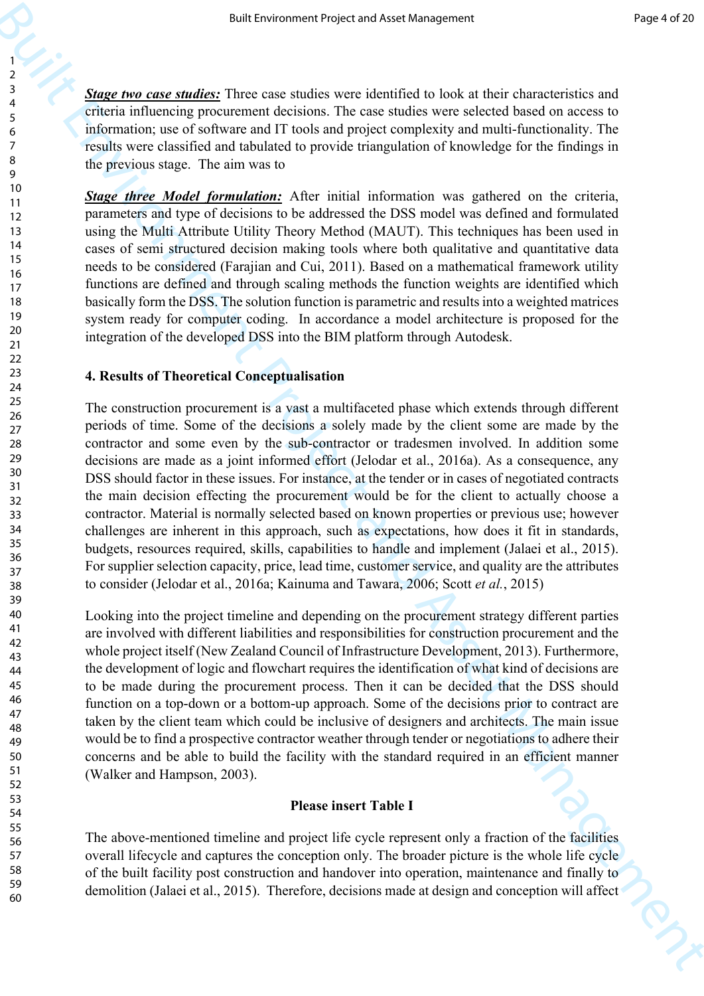*Stage two case studies:* Three case studies were identified to look at their characteristics and criteria influencing procurement decisions. The case studies were selected based on access to information; use of software and IT tools and project complexity and multi-functionality. The results were classified and tabulated to provide triangulation of knowledge for the findings in the previous stage. The aim was to

*Stage three Model formulation:* After initial information was gathered on the criteria, parameters and type of decisions to be addressed the DSS model was defined and formulated using the Multi Attribute Utility Theory Method (MAUT). This techniques has been used in cases of semi structured decision making tools where both qualitative and quantitative data needs to be considered (Farajian and Cui, 2011). Based on a mathematical framework utility functions are defined and through scaling methods the function weights are identified which basically form the DSS. The solution function is parametric and results into a weighted matrices system ready for computer coding. In accordance a model architecture is proposed for the integration of the developed DSS into the BIM platform through Autodesk.

## **4. Results of Theoretical Conceptualisation**

**Example 19 and the system of the system of the system of the system of the system of the system of the system of the system of the system of the system of the system of the system of the system of the system of the syste** The construction procurement is a vast a multifaceted phase which extends through different periods of time. Some of the decisions a solely made by the client some are made by the contractor and some even by the sub-contractor or tradesmen involved. In addition some decisions are made as a joint informed effort (Jelodar et al., 2016a). As a consequence, any DSS should factor in these issues. For instance, at the tender or in cases of negotiated contracts the main decision effecting the procurement would be for the client to actually choose a contractor. Material is normally selected based on known properties or previous use; however challenges are inherent in this approach, such as expectations, how does it fit in standards, budgets, resources required, skills, capabilities to handle and implement (Jalaei et al., 2015). For supplier selection capacity, price, lead time, customer service, and quality are the attributes to consider (Jelodar et al., 2016a; Kainuma and Tawara, 2006; Scott *et al.*, 2015)

Looking into the project timeline and depending on the procurement strategy different parties are involved with different liabilities and responsibilities for construction procurement and the whole project itself (New Zealand Council of Infrastructure Development, 2013). Furthermore, the development of logic and flowchart requires the identification of what kind of decisions are to be made during the procurement process. Then it can be decided that the DSS should function on a top-down or a bottom-up approach. Some of the decisions prior to contract are taken by the client team which could be inclusive of designers and architects. The main issue would be to find a prospective contractor weather through tender or negotiations to adhere their concerns and be able to build the facility with the standard required in an efficient manner (Walker and Hampson, 2003).

#### **Please insert Table I**

The above-mentioned timeline and project life cycle represent only a fraction of the facilities overall lifecycle and captures the conception only. The broader picture is the whole life cycle of the built facility post construction and handover into operation, maintenance and finally to demolition (Jalaei et al., 2015). Therefore, decisions made at design and conception will affect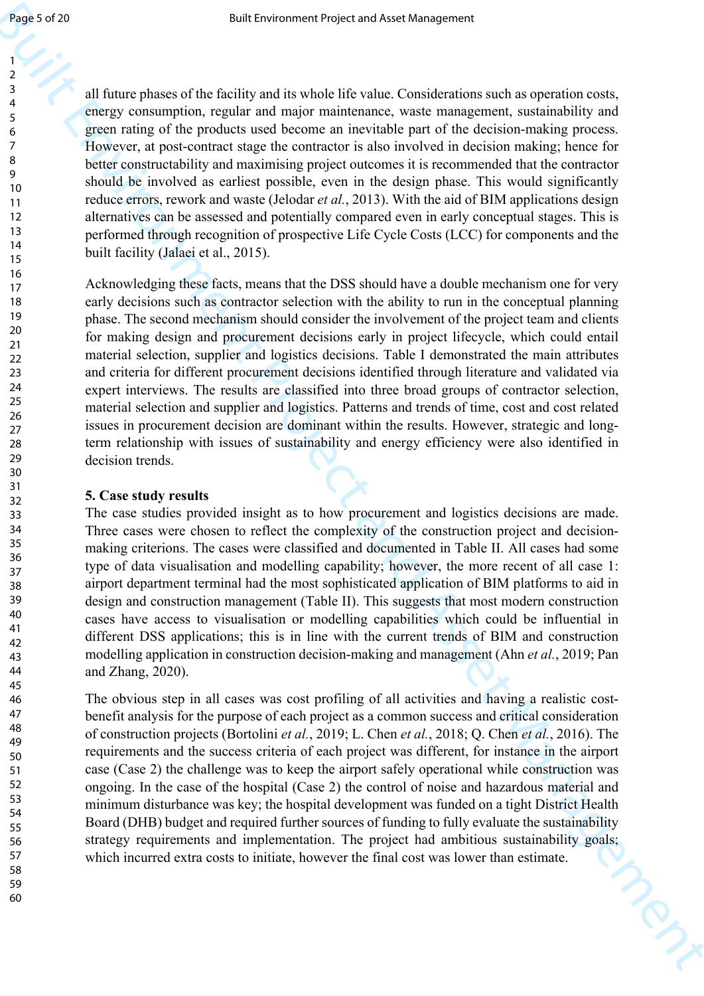all future phases of the facility and its whole life value. Considerations such as operation costs, energy consumption, regular and major maintenance, waste management, sustainability and green rating of the products used become an inevitable part of the decision-making process. However, at post-contract stage the contractor is also involved in decision making; hence for better constructability and maximising project outcomes it is recommended that the contractor should be involved as earliest possible, even in the design phase. This would significantly reduce errors, rework and waste (Jelodar *et al.*, 2013). With the aid of BIM applications design alternatives can be assessed and potentially compared even in early conceptual stages. This is performed through recognition of prospective Life Cycle Costs (LCC) for components and the built facility (Jalaei et al., 2015).

Figure 3 of 20<br>
1983-24 (a) their corresponds which in value in the basic in the term of the continuous methanology and a<br>
next which of the control of the control of the control of the control of<br>
2. The control of the c Acknowledging these facts, means that the DSS should have a double mechanism one for very early decisions such as contractor selection with the ability to run in the conceptual planning phase. The second mechanism should consider the involvement of the project team and clients for making design and procurement decisions early in project lifecycle, which could entail material selection, supplier and logistics decisions. Table I demonstrated the main attributes and criteria for different procurement decisions identified through literature and validated via expert interviews. The results are classified into three broad groups of contractor selection, material selection and supplier and logistics. Patterns and trends of time, cost and cost related issues in procurement decision are dominant within the results. However, strategic and longterm relationship with issues of sustainability and energy efficiency were also identified in decision trends.

#### **5. Case study results**

The case studies provided insight as to how procurement and logistics decisions are made. Three cases were chosen to reflect the complexity of the construction project and decisionmaking criterions. The cases were classified and documented in Table II. All cases had some type of data visualisation and modelling capability; however, the more recent of all case 1: airport department terminal had the most sophisticated application of BIM platforms to aid in design and construction management (Table II). This suggests that most modern construction cases have access to visualisation or modelling capabilities which could be influential in different DSS applications; this is in line with the current trends of BIM and construction modelling application in construction decision-making and management (Ahn *et al.*, 2019; Pan and Zhang, 2020).

The obvious step in all cases was cost profiling of all activities and having a realistic costbenefit analysis for the purpose of each project as a common success and critical consideration of construction projects (Bortolini *et al.*, 2019; L. Chen *et al.*, 2018; Q. Chen *et al.*, 2016). The requirements and the success criteria of each project was different, for instance in the airport case (Case 2) the challenge was to keep the airport safely operational while construction was ongoing. In the case of the hospital (Case 2) the control of noise and hazardous material and minimum disturbance was key; the hospital development was funded on a tight District Health Board (DHB) budget and required further sources of funding to fully evaluate the sustainability strategy requirements and implementation. The project had ambitious sustainability goals; which incurred extra costs to initiate, however the final cost was lower than estimate.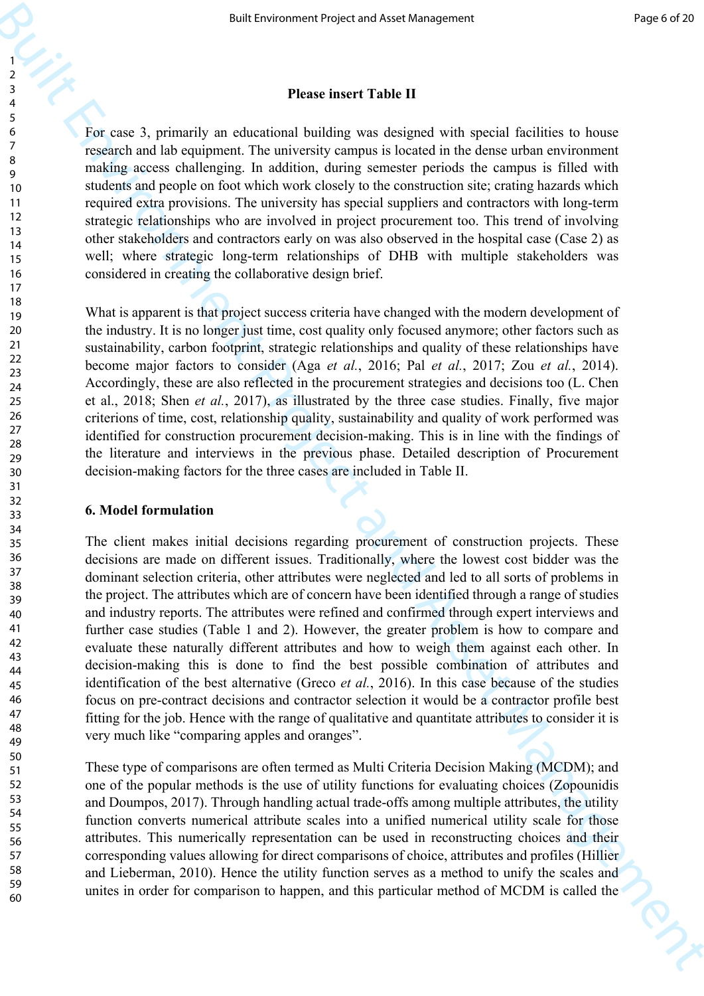## **Please insert Table II**

For case 3, primarily an educational building was designed with special facilities to house research and lab equipment. The university campus is located in the dense urban environment making access challenging. In addition, during semester periods the campus is filled with students and people on foot which work closely to the construction site; crating hazards which required extra provisions. The university has special suppliers and contractors with long-term strategic relationships who are involved in project procurement too. This trend of involving other stakeholders and contractors early on was also observed in the hospital case (Case 2) as well; where strategic long-term relationships of DHB with multiple stakeholders was considered in creating the collaborative design brief.

What is apparent is that project success criteria have changed with the modern development of the industry. It is no longer just time, cost quality only focused anymore; other factors such as sustainability, carbon footprint, strategic relationships and quality of these relationships have become major factors to consider (Aga *et al.*, 2016; Pal *et al.*, 2017; Zou *et al.*, 2014). Accordingly, these are also reflected in the procurement strategies and decisions too (L. Chen et al., 2018; Shen *et al.*, 2017), as illustrated by the three case studies. Finally, five major criterions of time, cost, relationship quality, sustainability and quality of work performed was identified for construction procurement decision-making. This is in line with the findings of the literature and interviews in the previous phase. Detailed description of Procurement decision-making factors for the three cases are included in Table II.

## **6. Model formulation**

But the correspondent project are start straighteric interactions of the computer of the control of the control of the control of the control of the control of the control of the control of the control of the control of t The client makes initial decisions regarding procurement of construction projects. These decisions are made on different issues. Traditionally, where the lowest cost bidder was the dominant selection criteria, other attributes were neglected and led to all sorts of problems in the project. The attributes which are of concern have been identified through a range of studies and industry reports. The attributes were refined and confirmed through expert interviews and further case studies (Table 1 and 2). However, the greater problem is how to compare and evaluate these naturally different attributes and how to weigh them against each other. In decision-making this is done to find the best possible combination of attributes and identification of the best alternative (Greco *et al.*, 2016). In this case because of the studies focus on pre-contract decisions and contractor selection it would be a contractor profile best fitting for the job. Hence with the range of qualitative and quantitate attributes to consider it is very much like "comparing apples and oranges".

These type of comparisons are often termed as Multi Criteria Decision Making (MCDM); and one of the popular methods is the use of utility functions for evaluating choices (Zopounidis and Doumpos, 2017). Through handling actual trade-offs among multiple attributes, the utility function converts numerical attribute scales into a unified numerical utility scale for those attributes. This numerically representation can be used in reconstructing choices and their corresponding values allowing for direct comparisons of choice, attributes and profiles (Hillier and Lieberman, 2010). Hence the utility function serves as a method to unify the scales and unites in order for comparison to happen, and this particular method of MCDM is called the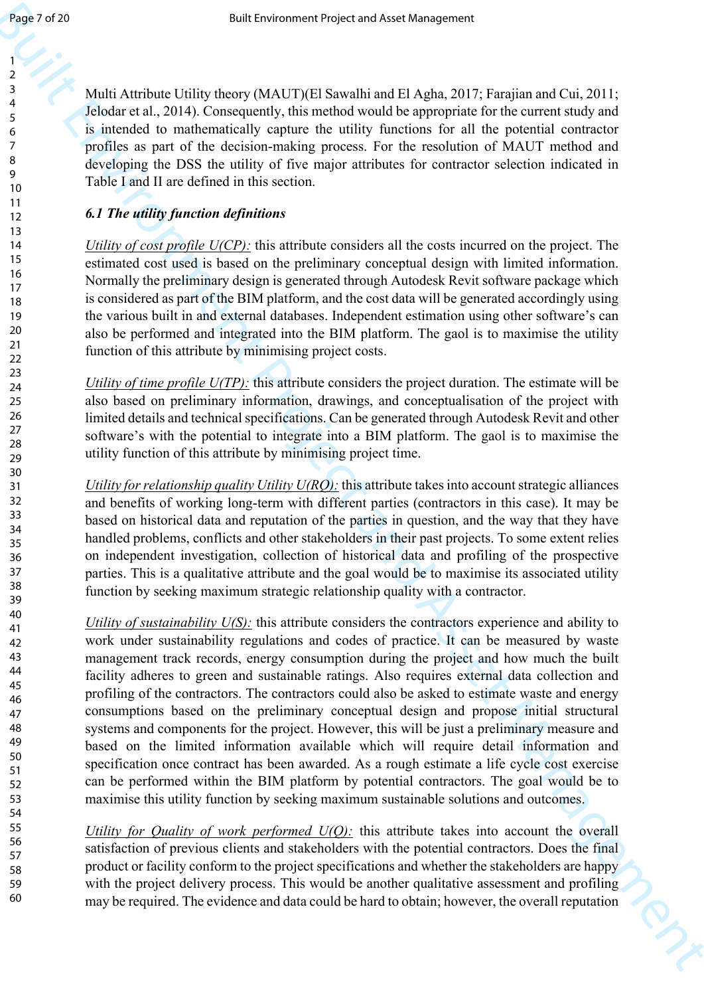Multi Attribute Utility theory (MAUT)(El Sawalhi and El Agha, 2017; Farajian and Cui, 2011; Jelodar et al., 2014). Consequently, this method would be appropriate for the current study and is intended to mathematically capture the utility functions for all the potential contractor profiles as part of the decision-making process. For the resolution of MAUT method and developing the DSS the utility of five major attributes for contractor selection indicated in Table I and II are defined in this section.

# *6.1 The utility function definitions*

*Utility of cost profile U(CP):* this attribute considers all the costs incurred on the project. The estimated cost used is based on the preliminary conceptual design with limited information. Normally the preliminary design is generated through Autodesk Revit software package which is considered as part of the BIM platform, and the cost data will be generated accordingly using the various built in and external databases. Independent estimation using other software's can also be performed and integrated into the BIM platform. The gaol is to maximise the utility function of this attribute by minimising project costs.

*Utility of time profile U(TP)*: this attribute considers the project duration. The estimate will be also based on preliminary information, drawings, and conceptualisation of the project with limited details and technical specifications. Can be generated through Autodesk Revit and other software's with the potential to integrate into a BIM platform. The gaol is to maximise the utility function of this attribute by minimising project time.

*Utility for relationship quality Utility U(RQ):* this attribute takes into account strategic alliances and benefits of working long-term with different parties (contractors in this case). It may be based on historical data and reputation of the parties in question, and the way that they have handled problems, conflicts and other stakeholders in their past projects. To some extent relies on independent investigation, collection of historical data and profiling of the prospective parties. This is a qualitative attribute and the goal would be to maximise its associated utility function by seeking maximum strategic relationship quality with a contractor.

Figure 7.4 20<br>
Space Control and the state of the state of the state of the state of the state of the state of the state of the state of the state of the state of the state of the state of the state of the state of the st *Utility of sustainability U(S)*: this attribute considers the contractors experience and ability to work under sustainability regulations and codes of practice. It can be measured by waste management track records, energy consumption during the project and how much the built facility adheres to green and sustainable ratings. Also requires external data collection and profiling of the contractors. The contractors could also be asked to estimate waste and energy consumptions based on the preliminary conceptual design and propose initial structural systems and components for the project. However, this will be just a preliminary measure and based on the limited information available which will require detail information and specification once contract has been awarded. As a rough estimate a life cycle cost exercise can be performed within the BIM platform by potential contractors. The goal would be to maximise this utility function by seeking maximum sustainable solutions and outcomes.

*Utility for Quality of work performed U(Q):* this attribute takes into account the overall satisfaction of previous clients and stakeholders with the potential contractors. Does the final product or facility conform to the project specifications and whether the stakeholders are happy with the project delivery process. This would be another qualitative assessment and profiling may be required. The evidence and data could be hard to obtain; however, the overall reputation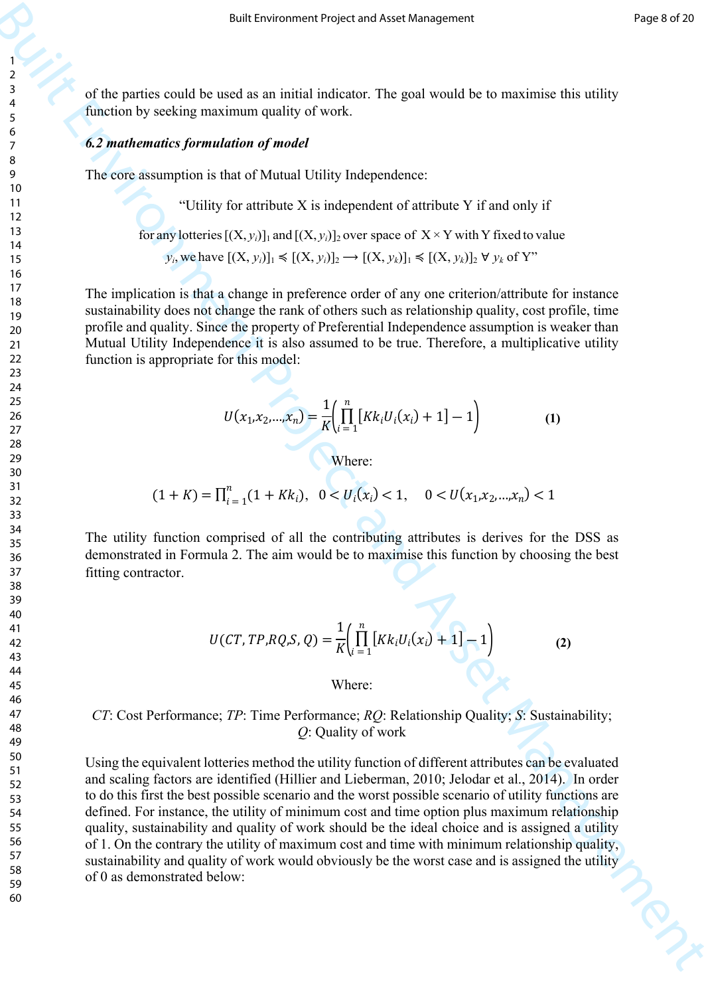of the parties could be used as an initial indicator. The goal would be to maximise this utility function by seeking maximum quality of work.

## *6.2 mathematics formulation of model*

The core assumption is that of Mutual Utility Independence:

"Utility for attribute X is independent of attribute Y if and only if

for any lotteries  $[(X, y_i)]_1$  and  $[(X, y_i)]_2$  over space of  $X \times Y$  with Y fixed to value

*y*<sub>*i*</sub>, we have  $[(X, y_i)]_1$  ≤  $[(X, y_i)]_2$  →  $[(X, y_k)]_1$  ≤  $[(X, y_k)]_2$  ∀  $y_k$  of Y"

The implication is that a change in preference order of any one criterion/attribute for instance sustainability does not change the rank of others such as relationship quality, cost profile, time profile and quality. Since the property of Preferential Independence assumption is weaker than Mutual Utility Independence it is also assumed to be true. Therefore, a multiplicative utility function is appropriate for this model:

$$
U(x_1, x_2, ..., x_n) = \frac{1}{K} \left( \prod_{i=1}^n [Kk_i U_i(x_i) + 1] - 1 \right)
$$
 (1)

Where:

 $(1 + K) = \prod_{i=1}^{n} (1 + Kk_i), \quad 0 < U_i(x_i) < 1,$  $\sum_{i=1}^{n} (1 + Kk_i), \quad 0 < U_i(x_i) < 1, \quad 0 < U(x_1, x_2, \dots, x_n) < 1$ 

The utility function comprised of all the contributing attributes is derives for the DSS as demonstrated in Formula 2. The aim would be to maximise this function by choosing the best fitting contractor.

$$
U(CT, TP, RQ, S, Q) = \frac{1}{K} \left( \prod_{i=1}^{n} \left[ Kk_i U_i(x_i) + 1 \right] - 1 \right)
$$
 (2)

Where:

## *CT*: Cost Performance; *TP*: Time Performance; *RQ*: Relationship Quality; *S*: Sustainability; *Q*: Quality of work

But the system of Project and Management Project and Management Project and Asset Management Asset Management Control of Eq. (A) and National Project and Asset Asset Management Control of Asset Management Control of Asset Using the equivalent lotteries method the utility function of different attributes can be evaluated and scaling factors are identified (Hillier and Lieberman, 2010; Jelodar et al., 2014). In order to do this first the best possible scenario and the worst possible scenario of utility functions are defined. For instance, the utility of minimum cost and time option plus maximum relationship quality, sustainability and quality of work should be the ideal choice and is assigned a utility of 1. On the contrary the utility of maximum cost and time with minimum relationship quality, sustainability and quality of work would obviously be the worst case and is assigned the utility of 0 as demonstrated below: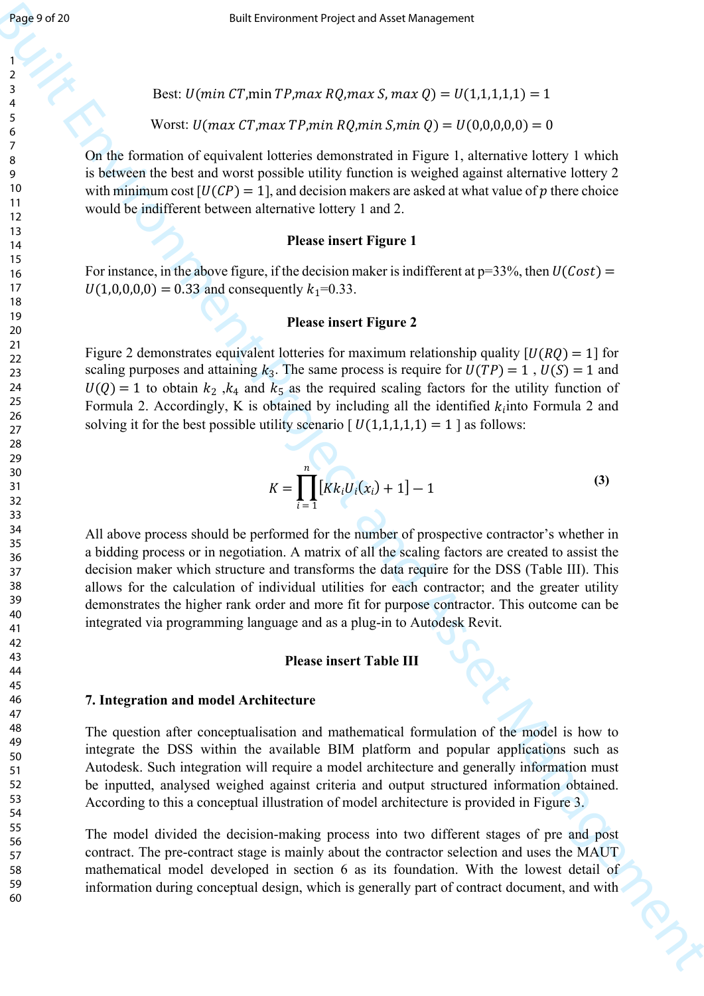Best:  $U(min CT, min TP, max R0, max S, max Q) = U(1,1,1,1,1) = 1$ 

Worst:  $U(max CT, max TP, min RQ, min S, min Q) = U(0,0,0,0,0) = 0$ 

On the formation of equivalent lotteries demonstrated in Figure 1, alternative lottery 1 which is between the best and worst possible utility function is weighed against alternative lottery 2 with minimum cost  $[U(CP)] = 1$ , and decision makers are asked at what value of p there choice would be indifferent between alternative lottery 1 and 2.

#### **Please insert Figure 1**

For instance, in the above figure, if the decision maker is indifferent at  $p=33\%$ , then  $U(Cost)$  =  $U(1,0,0,0,0) = 0.33$  and consequently  $k_1 = 0.33$ .

## **Please insert Figure 2**

Figure 2 demonstrates equivalent lotteries for maximum relationship quality  $[U(RQ) = 1]$  for scaling purposes and attaining  $k_3$ . The same process is require for  $U(TP) = 1$ ,  $U(S) = 1$  and  $U(Q) = 1$  to obtain  $k_2$ ,  $k_4$  and  $k_5$  as the required scaling factors for the utility function of Formula 2. Accordingly, K is obtained by including all the identified  $k_i$  into Formula 2 and solving it for the best possible utility scenario  $[U(1,1,1,1,1) = 1]$  as follows:

$$
K = \prod_{i=1}^{n} [Kk_i U_i(x_i) + 1] - 1
$$
 (3)

**Example 12**<br> **Buch.** However, if points Figures 80, environment Project and Asset Management<br> **Buch.** However, if points Figures 80, environment and Buch is smalled and Bureau in the main of the sequence of the sequence All above process should be performed for the number of prospective contractor's whether in a bidding process or in negotiation. A matrix of all the scaling factors are created to assist the decision maker which structure and transforms the data require for the DSS (Table III). This allows for the calculation of individual utilities for each contractor; and the greater utility demonstrates the higher rank order and more fit for purpose contractor. This outcome can be integrated via programming language and as a plug-in to Autodesk Revit.

## **Please insert Table III**

#### **7. Integration and model Architecture**

The question after conceptualisation and mathematical formulation of the model is how to integrate the DSS within the available BIM platform and popular applications such as Autodesk. Such integration will require a model architecture and generally information must be inputted, analysed weighed against criteria and output structured information obtained. According to this a conceptual illustration of model architecture is provided in Figure 3.

The model divided the decision-making process into two different stages of pre and post contract. The pre-contract stage is mainly about the contractor selection and uses the MAUT mathematical model developed in section 6 as its foundation. With the lowest detail of information during conceptual design, which is generally part of contract document, and with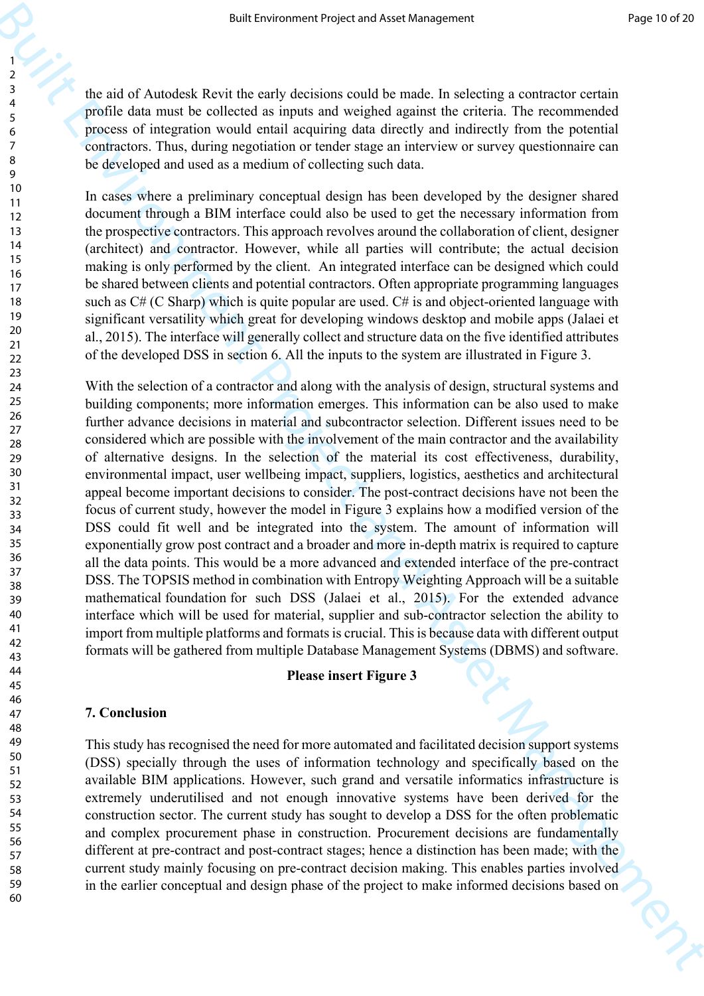the aid of Autodesk Revit the early decisions could be made. In selecting a contractor certain profile data must be collected as inputs and weighed against the criteria. The recommended process of integration would entail acquiring data directly and indirectly from the potential contractors. Thus, during negotiation or tender stage an interview or survey questionnaire can be developed and used as a medium of collecting such data.

In cases where a preliminary conceptual design has been developed by the designer shared document through a BIM interface could also be used to get the necessary information from the prospective contractors. This approach revolves around the collaboration of client, designer (architect) and contractor. However, while all parties will contribute; the actual decision making is only performed by the client. An integrated interface can be designed which could be shared between clients and potential contractors. Often appropriate programming languages such as  $C# (C \; \text{sharp})$  which is quite popular are used.  $C#$  is and object-oriented language with significant versatility which great for developing windows desktop and mobile apps (Jalaei et al., 2015). The interface will generally collect and structure data on the five identified attributes of the developed DSS in section 6. All the inputs to the system are illustrated in Figure 3.

For the three matrix of the matrix of the matrix in the matrix in the matrix of the matrix of the matrix of the matrix of the matrix of the matrix of the matrix of the matrix of the matrix of the matrix of the matrix of t With the selection of a contractor and along with the analysis of design, structural systems and building components; more information emerges. This information can be also used to make further advance decisions in material and subcontractor selection. Different issues need to be considered which are possible with the involvement of the main contractor and the availability of alternative designs. In the selection of the material its cost effectiveness, durability, environmental impact, user wellbeing impact, suppliers, logistics, aesthetics and architectural appeal become important decisions to consider. The post-contract decisions have not been the focus of current study, however the model in Figure 3 explains how a modified version of the DSS could fit well and be integrated into the system. The amount of information will exponentially grow post contract and a broader and more in-depth matrix is required to capture all the data points. This would be a more advanced and extended interface of the pre-contract DSS. The TOPSIS method in combination with Entropy Weighting Approach will be a suitable mathematical foundation for such DSS (Jalaei et al., 2015). For the extended advance interface which will be used for material, supplier and sub-contractor selection the ability to import from multiple platforms and formats is crucial. This is because data with different output formats will be gathered from multiple Database Management Systems (DBMS) and software.

## **Please insert Figure 3**

#### **7. Conclusion**

This study has recognised the need for more automated and facilitated decision support systems (DSS) specially through the uses of information technology and specifically based on the available BIM applications. However, such grand and versatile informatics infrastructure is extremely underutilised and not enough innovative systems have been derived for the construction sector. The current study has sought to develop a DSS for the often problematic and complex procurement phase in construction. Procurement decisions are fundamentally different at pre-contract and post-contract stages; hence a distinction has been made; with the current study mainly focusing on pre-contract decision making. This enables parties involved in the earlier conceptual and design phase of the project to make informed decisions based on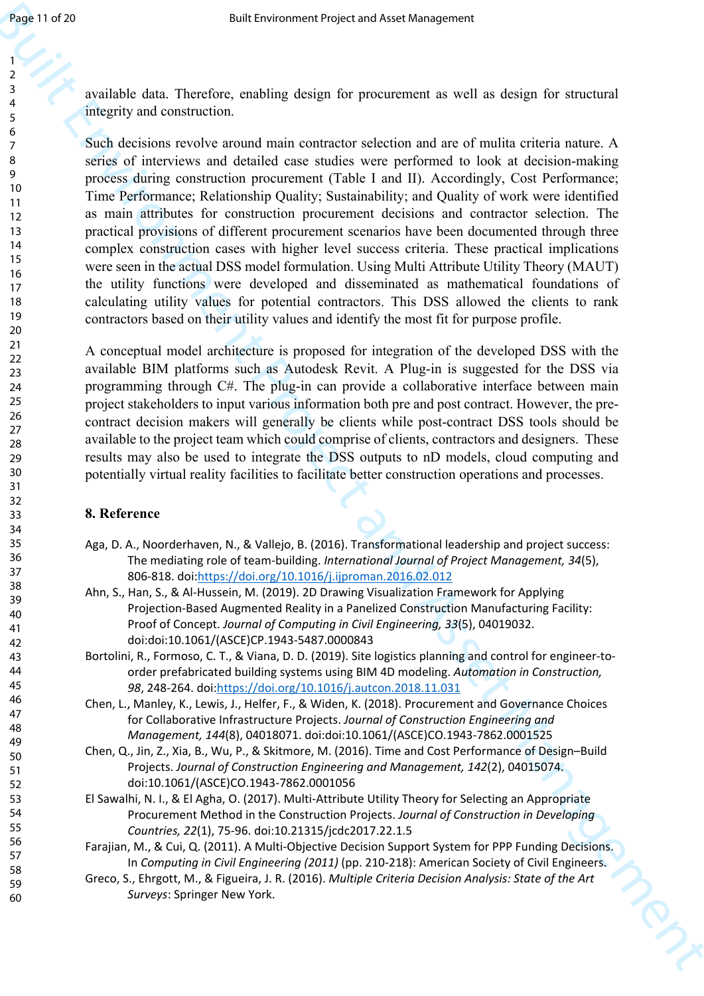available data. Therefore, enabling design for procurement as well as design for structural integrity and construction.

**Example 19**<br> **Example Construction**<br> **Example Construction**<br> **Example Construction**<br> **Example Construction**<br> **Example Construction**<br> **Example Construction**<br> **Example Construction**<br> **Example Construction**<br> **Example Constr** Such decisions revolve around main contractor selection and are of mulita criteria nature. A series of interviews and detailed case studies were performed to look at decision-making process during construction procurement (Table I and II). Accordingly, Cost Performance; Time Performance; Relationship Quality; Sustainability; and Quality of work were identified as main attributes for construction procurement decisions and contractor selection. The practical provisions of different procurement scenarios have been documented through three complex construction cases with higher level success criteria. These practical implications were seen in the actual DSS model formulation. Using Multi Attribute Utility Theory (MAUT) the utility functions were developed and disseminated as mathematical foundations of calculating utility values for potential contractors. This DSS allowed the clients to rank contractors based on their utility values and identify the most fit for purpose profile.

A conceptual model architecture is proposed for integration of the developed DSS with the available BIM platforms such as Autodesk Revit. A Plug-in is suggested for the DSS via programming through C#. The plug-in can provide a collaborative interface between main project stakeholders to input various information both pre and post contract. However, the precontract decision makers will generally be clients while post-contract DSS tools should be available to the project team which could comprise of clients, contractors and designers. These results may also be used to integrate the DSS outputs to nD models, cloud computing and potentially virtual reality facilities to facilitate better construction operations and processes.

## **8. Reference**

- Aga, D. A., Noorderhaven, N., & Vallejo, B. (2016). Transformational leadership and project success: The mediating role of team-building. *International Journal of Project Management, 34*(5), 806-818. doi:https://doi.org/10.1016/j.ijproman.2016.02.012
- Ahn, S., Han, S., & Al-Hussein, M. (2019). 2D Drawing Visualization Framework for Applying Projection-Based Augmented Reality in a Panelized Construction Manufacturing Facility: Proof of Concept. *Journal of Computing in Civil Engineering, 33*(5), 04019032. doi:doi:10.1061/(ASCE)CP.1943-5487.0000843
- Bortolini, R., Formoso, C. T., & Viana, D. D. (2019). Site logistics planning and control for engineer-toorder prefabricated building systems using BIM 4D modeling. *Automation in Construction, 98*, 248-264. doi:https://doi.org/10.1016/j.autcon.2018.11.031
- Chen, L., Manley, K., Lewis, J., Helfer, F., & Widen, K. (2018). Procurement and Governance Choices for Collaborative Infrastructure Projects. *Journal of Construction Engineering and Management, 144*(8), 04018071. doi:doi:10.1061/(ASCE)CO.1943-7862.0001525
- Chen, Q., Jin, Z., Xia, B., Wu, P., & Skitmore, M. (2016). Time and Cost Performance of Design–Build Projects. *Journal of Construction Engineering and Management, 142*(2), 04015074. doi:10.1061/(ASCE)CO.1943-7862.0001056
- El Sawalhi, N. I., & El Agha, O. (2017). Multi-Attribute Utility Theory for Selecting an Appropriate Procurement Method in the Construction Projects. *Journal of Construction in Developing Countries, 22*(1), 75-96. doi:10.21315/jcdc2017.22.1.5
- Farajian, M., & Cui, Q. (2011). A Multi-Objective Decision Support System for PPP Funding Decisions. In *Computing in Civil Engineering (2011)* (pp. 210-218): American Society of Civil Engineers.
- Greco, S., Ehrgott, M., & Figueira, J. R. (2016). *Multiple Criteria Decision Analysis: State of the Art Surveys*: Springer New York.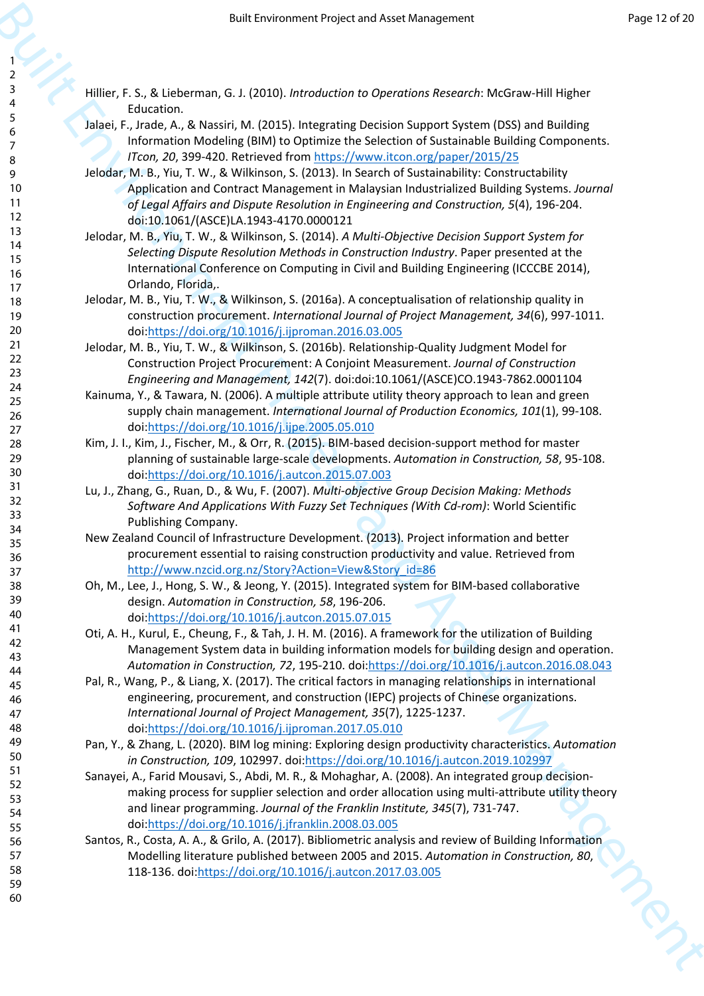- Hillier, F. S., & Lieberman, G. J. (2010). *Introduction to Operations Research*: McGraw-Hill Higher Education.
- Jalaei, F., Jrade, A., & Nassiri, M. (2015). Integrating Decision Support System (DSS) and Building Information Modeling (BIM) to Optimize the Selection of Sustainable Building Components. *ITcon, 20*, 399-420. Retrieved from https://www.itcon.org/paper/2015/25
- Jelodar, M. B., Yiu, T. W., & Wilkinson, S. (2013). In Search of Sustainability: Constructability Application and Contract Management in Malaysian Industrialized Building Systems. *Journal of Legal Affairs and Dispute Resolution in Engineering and Construction, 5*(4), 196-204. doi:10.1061/(ASCE)LA.1943-4170.0000121
- Jelodar, M. B., Yiu, T. W., & Wilkinson, S. (2014). *A Multi-Objective Decision Support System for Selecting Dispute Resolution Methods in Construction Industry*. Paper presented at the International Conference on Computing in Civil and Building Engineering (ICCCBE 2014), Orlando, Florida,.
- Jelodar, M. B., Yiu, T. W., & Wilkinson, S. (2016a). A conceptualisation of relationship quality in construction procurement. *International Journal of Project Management, 34*(6), 997-1011. doi:https://doi.org/10.1016/j.ijproman.2016.03.005
- Jelodar, M. B., Yiu, T. W., & Wilkinson, S. (2016b). Relationship-Quality Judgment Model for Construction Project Procurement: A Conjoint Measurement. *Journal of Construction Engineering and Management, 142*(7). doi:doi:10.1061/(ASCE)CO.1943-7862.0001104
- Kainuma, Y., & Tawara, N. (2006). A multiple attribute utility theory approach to lean and green supply chain management. *International Journal of Production Economics, 101*(1), 99-108. doi:https://doi.org/10.1016/j.ijpe.2005.05.010
- Kim, J. I., Kim, J., Fischer, M., & Orr, R. (2015). BIM-based decision-support method for master planning of sustainable large-scale developments. *Automation in Construction, 58*, 95-108. doi:https://doi.org/10.1016/j.autcon.2015.07.003
- Lu, J., Zhang, G., Ruan, D., & Wu, F. (2007). *Multi-objective Group Decision Making: Methods Software And Applications With Fuzzy Set Techniques (With Cd-rom)*: World Scientific Publishing Company.
- New Zealand Council of Infrastructure Development. (2013). Project information and better procurement essential to raising construction productivity and value. Retrieved from http://www.nzcid.org.nz/Story?Action=View&Story\_id=86
- Oh, M., Lee, J., Hong, S. W., & Jeong, Y. (2015). Integrated system for BIM-based collaborative design. *Automation in Construction, 58*, 196-206. doi:https://doi.org/10.1016/j.autcon.2015.07.015
- Oti, A. H., Kurul, E., Cheung, F., & Tah, J. H. M. (2016). A framework for the utilization of Building Management System data in building information models for building design and operation. *Automation in Construction, 72*, 195-210. doi:https://doi.org/10.1016/j.autcon.2016.08.043
- Pal, R., Wang, P., & Liang, X. (2017). The critical factors in managing relationships in international engineering, procurement, and construction (IEPC) projects of Chinese organizations. *International Journal of Project Management, 35*(7), 1225-1237. doi:https://doi.org/10.1016/j.ijproman.2017.05.010
- Pan, Y., & Zhang, L. (2020). BIM log mining: Exploring design productivity characteristics. *Automation in Construction, 109*, 102997. doi:https://doi.org/10.1016/j.autcon.2019.102997
- **EVEL A CONFIRM AND THE USE OF THE USE CONFIRM AND THE USE CONFIRM AND THE USE CONFIRM AND THE USE CONFIRM AND THE USE CONFIRM AND THE USE CONFIRM AND THE USE CONFIRM AND THE USE CONFIRM AND THE USE CONFIRM AND THE USE CO** Sanayei, A., Farid Mousavi, S., Abdi, M. R., & Mohaghar, A. (2008). An integrated group decisionmaking process for supplier selection and order allocation using multi-attribute utility theory and linear programming. *Journal of the Franklin Institute, 345*(7), 731-747. doi:https://doi.org/10.1016/j.jfranklin.2008.03.005
	- Santos, R., Costa, A. A., & Grilo, A. (2017). Bibliometric analysis and review of Building Information Modelling literature published between 2005 and 2015. *Automation in Construction, 80*, 118-136. doi:https://doi.org/10.1016/j.autcon.2017.03.005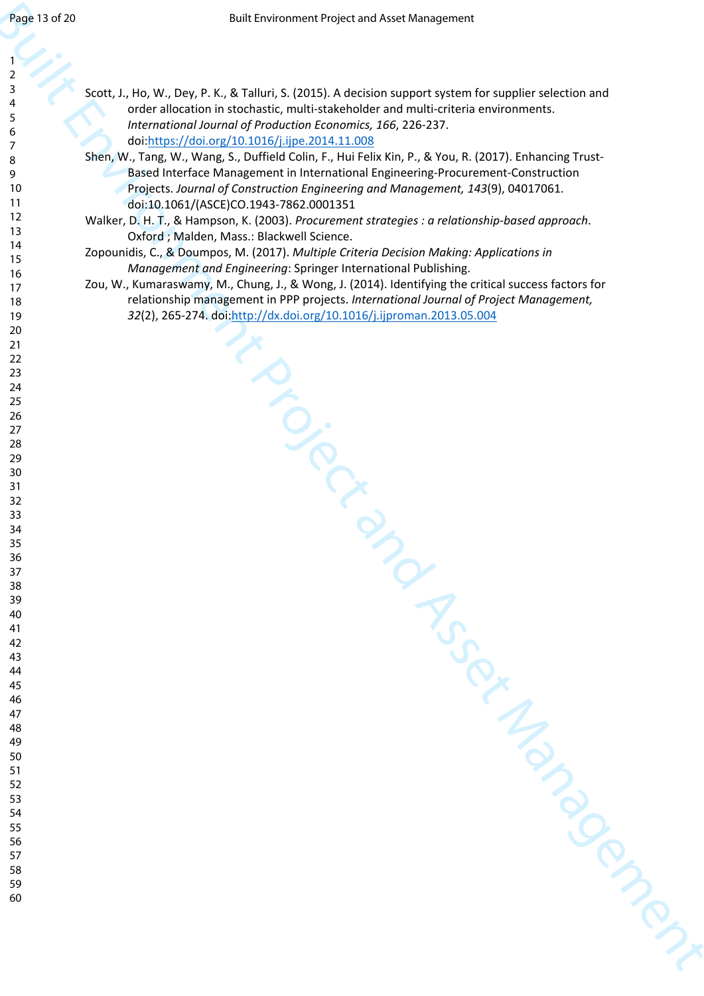| 2                                         |  |
|-------------------------------------------|--|
| 3                                         |  |
|                                           |  |
| 4                                         |  |
|                                           |  |
| 5                                         |  |
| 6                                         |  |
|                                           |  |
|                                           |  |
|                                           |  |
| 8                                         |  |
| 9                                         |  |
|                                           |  |
| 10                                        |  |
|                                           |  |
| 1<br>$\mathbf{1}$                         |  |
| 1.<br>$\overline{c}$                      |  |
|                                           |  |
| 13                                        |  |
|                                           |  |
| $\overline{14}$                           |  |
| 15                                        |  |
|                                           |  |
| 16                                        |  |
|                                           |  |
| 17                                        |  |
| 18                                        |  |
|                                           |  |
| 19                                        |  |
|                                           |  |
| 20                                        |  |
| $\overline{21}$                           |  |
|                                           |  |
| $\overline{c}$<br>,                       |  |
|                                           |  |
| 23                                        |  |
| $\frac{24}{5}$                            |  |
|                                           |  |
| 25                                        |  |
|                                           |  |
| 26                                        |  |
| $^{27}$                                   |  |
|                                           |  |
| 28                                        |  |
|                                           |  |
| 29                                        |  |
| 30                                        |  |
|                                           |  |
| $\overline{31}$                           |  |
|                                           |  |
| $\overline{\mathbf{3}}$<br>$\overline{2}$ |  |
| 33                                        |  |
|                                           |  |
| 34                                        |  |
|                                           |  |
| 35                                        |  |
| 36                                        |  |
|                                           |  |
| 37                                        |  |
|                                           |  |
| 38                                        |  |
| 39                                        |  |
|                                           |  |
| 40                                        |  |
| 41                                        |  |
|                                           |  |
| 42                                        |  |
|                                           |  |
| 43                                        |  |
| 44                                        |  |
|                                           |  |
| 45                                        |  |
|                                           |  |
| 46                                        |  |
| 47                                        |  |
|                                           |  |
| 48                                        |  |
|                                           |  |
| 49                                        |  |
| 50                                        |  |
|                                           |  |
| 51                                        |  |
| 5.<br>2                                   |  |
|                                           |  |
| 53                                        |  |
|                                           |  |
| 54                                        |  |
| 55                                        |  |
|                                           |  |
| 56                                        |  |
|                                           |  |

- Buye 139 233<br>
Suit Evid[en](http://dx.doi.org/10.1016/j.ijproman.2013.05.004)te Project and Asset Management Project and Asset Management<br>
Asset Andre Leonord Constant Asset Andre Leonord Constant Asset Andre Leonord Constant Asset<br>
Asset Andre Leonord Constant Asset Andre Scott, J., Ho, W., Dey, P. K., & Talluri, S. (2015). A decision support system for supplier selection and order allocation in stochastic, multi-stakeholder and multi-criteria environments. *International Journal of Production Economics, 166*, 226-237. doi:https://doi.org/10.1016/j.ijpe.2014.11.008
	- Shen, W., Tang, W., Wang, S., Duffield Colin, F., Hui Felix Kin, P., & You, R. (2017). Enhancing Trust-Based Interface Management in International Engineering-Procurement-Construction Projects. *Journal of Construction Engineering and Management, 143*(9), 04017061. doi:10.1061/(ASCE)CO.1943-7862.0001351
	- Walker, D. H. T., & Hampson, K. (2003). *Procurement strategies : a relationship-based approach*. Oxford ; Malden, Mass.: Blackwell Science.
	- Zopounidis, C., & Doumpos, M. (2017). *Multiple Criteria Decision Making: Applications in Management and Engineering*: Springer International Publishing.
	- Zou, W., Kumaraswamy, M., Chung, J., & Wong, J. (2014). Identifying the critical success factors for relationship management in PPP projects. *International Journal of Project Management,*  (2), 265-274. doi:http://dx.doi.org/10.1016/j.ijproman.2013.05.004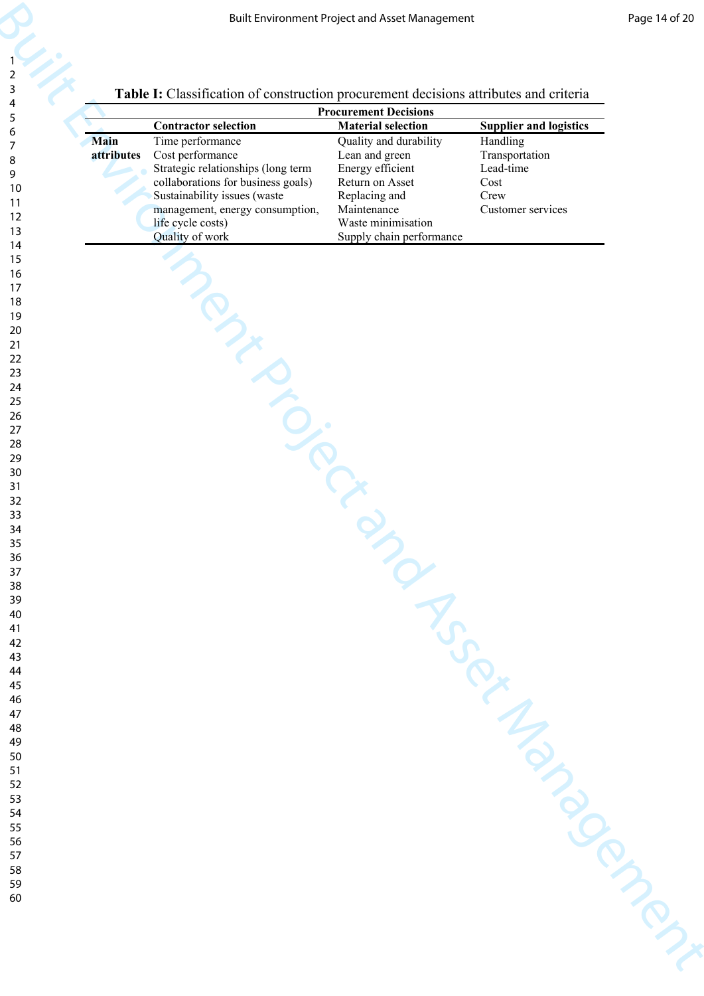| Table I: Classification of construction procurement decisions attributes and criteria |  |
|---------------------------------------------------------------------------------------|--|

|                           | Table I: Classification of construction procurement decisions attributes and criteria                                                                                                                                       |                                                                                                                                                                   |                                                                              |
|---------------------------|-----------------------------------------------------------------------------------------------------------------------------------------------------------------------------------------------------------------------------|-------------------------------------------------------------------------------------------------------------------------------------------------------------------|------------------------------------------------------------------------------|
|                           |                                                                                                                                                                                                                             | <b>Procurement Decisions</b>                                                                                                                                      |                                                                              |
|                           | <b>Contractor selection</b>                                                                                                                                                                                                 | <b>Material selection</b>                                                                                                                                         | <b>Supplier and logistics</b>                                                |
| <b>Main</b><br>attributes | Time performance<br>Cost performance<br>Strategic relationships (long term<br>collaborations for business goals)<br>Sustainability issues (waste<br>management, energy consumption,<br>life cycle costs)<br>Quality of work | Quality and durability<br>Lean and green<br>Energy efficient<br>Return on Asset<br>Replacing and<br>Maintenance<br>Waste minimisation<br>Supply chain performance | Handling<br>Transportation<br>Lead-time<br>Cost<br>Crew<br>Customer services |
|                           | manuscription                                                                                                                                                                                                               |                                                                                                                                                                   |                                                                              |
|                           |                                                                                                                                                                                                                             |                                                                                                                                                                   |                                                                              |
|                           |                                                                                                                                                                                                                             |                                                                                                                                                                   |                                                                              |
|                           |                                                                                                                                                                                                                             |                                                                                                                                                                   |                                                                              |
|                           |                                                                                                                                                                                                                             |                                                                                                                                                                   |                                                                              |
|                           |                                                                                                                                                                                                                             |                                                                                                                                                                   |                                                                              |
|                           |                                                                                                                                                                                                                             |                                                                                                                                                                   |                                                                              |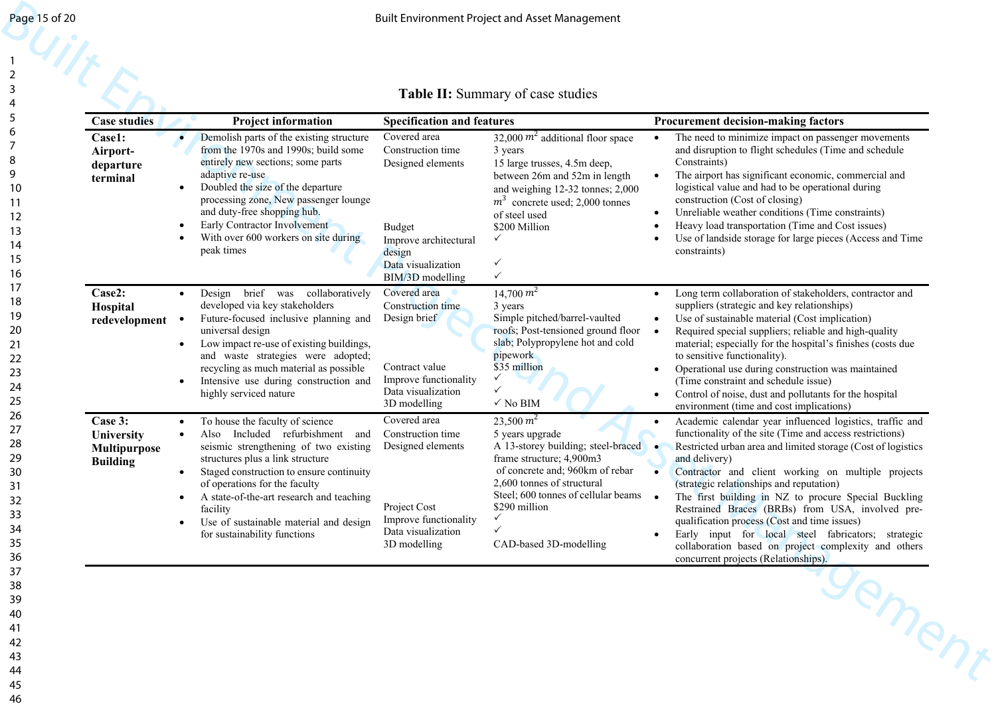## **Table II:** Summary of case studies

| Page 15 of 20                                                                                            |                                                                        |                                                                                                                                                                                                                                                                                                                                                                                          |                                                                                                                                                                       | <b>Built Environment Project and Asset Management</b>                                                                                                                                                                                                                                                 |                                                                                                                                                                                                                                                                                                                                                                                                                                                                                                                                                                                                                           |
|----------------------------------------------------------------------------------------------------------|------------------------------------------------------------------------|------------------------------------------------------------------------------------------------------------------------------------------------------------------------------------------------------------------------------------------------------------------------------------------------------------------------------------------------------------------------------------------|-----------------------------------------------------------------------------------------------------------------------------------------------------------------------|-------------------------------------------------------------------------------------------------------------------------------------------------------------------------------------------------------------------------------------------------------------------------------------------------------|---------------------------------------------------------------------------------------------------------------------------------------------------------------------------------------------------------------------------------------------------------------------------------------------------------------------------------------------------------------------------------------------------------------------------------------------------------------------------------------------------------------------------------------------------------------------------------------------------------------------------|
| $\overline{3}$<br>$\overline{\mathcal{L}}$<br>5<br>6<br>7<br>8<br>9<br>10<br>-11<br>12<br>13<br>14<br>15 | <b>Case studies</b><br>Case1:<br>Airport-<br>departure<br>terminal     | <b>Project information</b><br>Demolish parts of the existing structure<br>from the 1970s and 1990s; build some<br>entirely new sections; some parts<br>adaptive re-use<br>Doubled the size of the departure<br>processing zone, New passenger lounge<br>and duty-free shopping hub.<br>Early Contractor Involvement<br>With over 600 workers on site during<br>peak times                | <b>Specification and features</b><br>Covered area<br>Construction time<br>Designed elements<br><b>Budget</b><br>Improve architectural<br>design<br>Data visualization | <b>Table II:</b> Summary of case studies<br>32,000 $m^2$ additional floor space<br>3 years<br>15 large trusses, 4.5m deep,<br>between 26m and 52m in length<br>and weighing 12-32 tonnes; 2,000<br>$m3$ concrete used; 2,000 tonnes<br>of steel used<br>\$200 Million<br>$\checkmark$<br>$\checkmark$ | <b>Procurement decision-making factors</b><br>The need to minimize impact on passenger movements<br>and disruption to flight schedules (Time and schedule<br>Constraints)<br>The airport has significant economic, commercial and<br>logistical value and had to be operational during<br>construction (Cost of closing)<br>Unreliable weather conditions (Time constraints)<br>Heavy load transportation (Time and Cost issues)<br>Use of landside storage for large pieces (Access and Time<br>constraints)                                                                                                             |
| 16<br>17<br>18<br>19<br>20<br>21<br>22<br>23<br>24<br>25                                                 | Case2:<br>Hospital<br>redevelopment                                    | Design brief was collaboratively<br>$\bullet$<br>developed via key stakeholders<br>Future-focused inclusive planning and<br>universal design<br>Low impact re-use of existing buildings,<br>$\bullet$<br>and waste strategies were adopted;<br>recycling as much material as possible<br>Intensive use during construction and<br>highly serviced nature                                 | BIM/3D modelling<br>Covered area<br>Construction time<br>Design brief<br>Contract value<br>Improve functionality<br>Data visualization<br>3D modelling                | $\checkmark$<br>$14,700\ m^2$<br>3 years<br>Simple pitched/barrel-vaulted<br>roofs; Post-tensioned ground floor<br>slab; Polypropylene hot and cold<br>pipework<br>\$35 million<br>$\checkmark$<br>✓<br>$\checkmark$ No BIM                                                                           | Long term collaboration of stakeholders, contractor and<br>suppliers (strategic and key relationships)<br>Use of sustainable material (Cost implication)<br>$\bullet$<br>Required special suppliers; reliable and high-quality<br>material; especially for the hospital's finishes (costs due<br>to sensitive functionality).<br>Operational use during construction was maintained<br>(Time constraint and schedule issue)<br>Control of noise, dust and pollutants for the hospital<br>environment (time and cost implications)                                                                                         |
| 26<br>27<br>28<br>29<br>30<br>31<br>32<br>33<br>34<br>35<br>36                                           | Case 3:<br><b>University</b><br><b>Multipurpose</b><br><b>Building</b> | To house the faculty of science<br>$\bullet$<br>Also Included refurbishment and<br>$\bullet$<br>seismic strengthening of two existing<br>structures plus a link structure<br>Staged construction to ensure continuity<br>of operations for the faculty<br>A state-of-the-art research and teaching<br>facility<br>Use of sustainable material and design<br>for sustainability functions | Covered area<br>Construction time<br>Designed elements<br>Project Cost<br>Improve functionality<br>Data visualization<br>3D modelling                                 | $23,500 \, m^2$<br>5 years upgrade<br>A 13-storey building; steel-braced •<br>frame structure; 4,900m3<br>of concrete and; 960km of rebar<br>2,600 tonnes of structural<br>Steel; 600 tonnes of cellular beams •<br>\$290 million<br>✓<br>$\checkmark$<br>CAD-based 3D-modelling                      | Academic calendar year influenced logistics, traffic and<br>functionality of the site (Time and access restrictions)<br>Restricted urban area and limited storage (Cost of logistics<br>and delivery)<br>Contractor and client working on multiple projects<br>(strategic relationships and reputation)<br>The first building in NZ to procure Special Buckling<br>Restrained Braces (BRBs) from USA, involved pre-<br>qualification process (Cost and time issues)<br>Early input for local steel fabricators; strategic<br>collaboration based on project complexity and others<br>concurrent projects (Relationships). |
| 37<br>38<br>39<br>40<br>41<br>42<br>43<br>44                                                             |                                                                        |                                                                                                                                                                                                                                                                                                                                                                                          |                                                                                                                                                                       |                                                                                                                                                                                                                                                                                                       | gement                                                                                                                                                                                                                                                                                                                                                                                                                                                                                                                                                                                                                    |

44 45 46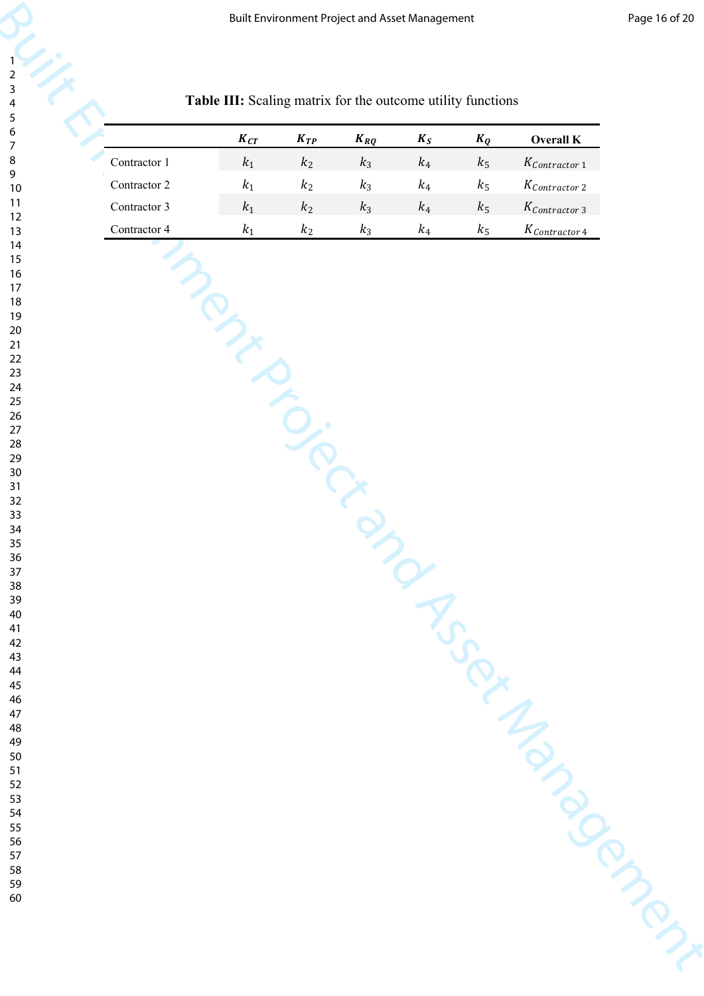| Table III: Scaling matrix for the outcome utility functions<br>$K_{CT}$<br>$K_{TP}$<br>$K_{RQ}$<br>$K_S$<br>$K_Q$<br>Overall K<br>Contractor $1\,$<br>$\mathfrak{k}_1$<br>$k_2$<br>$k_3$<br>$\mathfrak{k}_4$<br>$k_5$<br>$K_{\ensuremath{\mathcal{C}}\xspace ontractor\ 1}$<br>Contractor 2<br>$\boldsymbol{k}_1$<br>$k_2$<br>$k_3$<br>$\mathfrak{k}_4$<br>$k_5$<br>$K_{\ensuremath{\mathcal{C}}\xspace ontractor\ 2}$<br>Contractor 3<br>$\boldsymbol{k}_1$<br>$k_2$<br>$k_3$<br>$\mathfrak{k}_4$<br>$k_5$<br>$K_{\ensuremath{\mathcal{C}}\xspace ontractor\ 3}$<br>Contractor 4<br>$k_1$<br>$k_2$<br>$k_3$<br>$k_4$<br>$k_5$<br>$K_{\text{Contractor 4}}$<br>INSERIES |  |
|-------------------------------------------------------------------------------------------------------------------------------------------------------------------------------------------------------------------------------------------------------------------------------------------------------------------------------------------------------------------------------------------------------------------------------------------------------------------------------------------------------------------------------------------------------------------------------------------------------------------------------------------------------------------------|--|
|                                                                                                                                                                                                                                                                                                                                                                                                                                                                                                                                                                                                                                                                         |  |
|                                                                                                                                                                                                                                                                                                                                                                                                                                                                                                                                                                                                                                                                         |  |
|                                                                                                                                                                                                                                                                                                                                                                                                                                                                                                                                                                                                                                                                         |  |
|                                                                                                                                                                                                                                                                                                                                                                                                                                                                                                                                                                                                                                                                         |  |
|                                                                                                                                                                                                                                                                                                                                                                                                                                                                                                                                                                                                                                                                         |  |
|                                                                                                                                                                                                                                                                                                                                                                                                                                                                                                                                                                                                                                                                         |  |
|                                                                                                                                                                                                                                                                                                                                                                                                                                                                                                                                                                                                                                                                         |  |
|                                                                                                                                                                                                                                                                                                                                                                                                                                                                                                                                                                                                                                                                         |  |
|                                                                                                                                                                                                                                                                                                                                                                                                                                                                                                                                                                                                                                                                         |  |
|                                                                                                                                                                                                                                                                                                                                                                                                                                                                                                                                                                                                                                                                         |  |
|                                                                                                                                                                                                                                                                                                                                                                                                                                                                                                                                                                                                                                                                         |  |
|                                                                                                                                                                                                                                                                                                                                                                                                                                                                                                                                                                                                                                                                         |  |
|                                                                                                                                                                                                                                                                                                                                                                                                                                                                                                                                                                                                                                                                         |  |
|                                                                                                                                                                                                                                                                                                                                                                                                                                                                                                                                                                                                                                                                         |  |
|                                                                                                                                                                                                                                                                                                                                                                                                                                                                                                                                                                                                                                                                         |  |
|                                                                                                                                                                                                                                                                                                                                                                                                                                                                                                                                                                                                                                                                         |  |
|                                                                                                                                                                                                                                                                                                                                                                                                                                                                                                                                                                                                                                                                         |  |
|                                                                                                                                                                                                                                                                                                                                                                                                                                                                                                                                                                                                                                                                         |  |
|                                                                                                                                                                                                                                                                                                                                                                                                                                                                                                                                                                                                                                                                         |  |
|                                                                                                                                                                                                                                                                                                                                                                                                                                                                                                                                                                                                                                                                         |  |
|                                                                                                                                                                                                                                                                                                                                                                                                                                                                                                                                                                                                                                                                         |  |
|                                                                                                                                                                                                                                                                                                                                                                                                                                                                                                                                                                                                                                                                         |  |
|                                                                                                                                                                                                                                                                                                                                                                                                                                                                                                                                                                                                                                                                         |  |
|                                                                                                                                                                                                                                                                                                                                                                                                                                                                                                                                                                                                                                                                         |  |
|                                                                                                                                                                                                                                                                                                                                                                                                                                                                                                                                                                                                                                                                         |  |
|                                                                                                                                                                                                                                                                                                                                                                                                                                                                                                                                                                                                                                                                         |  |
|                                                                                                                                                                                                                                                                                                                                                                                                                                                                                                                                                                                                                                                                         |  |
|                                                                                                                                                                                                                                                                                                                                                                                                                                                                                                                                                                                                                                                                         |  |
|                                                                                                                                                                                                                                                                                                                                                                                                                                                                                                                                                                                                                                                                         |  |
|                                                                                                                                                                                                                                                                                                                                                                                                                                                                                                                                                                                                                                                                         |  |
|                                                                                                                                                                                                                                                                                                                                                                                                                                                                                                                                                                                                                                                                         |  |
|                                                                                                                                                                                                                                                                                                                                                                                                                                                                                                                                                                                                                                                                         |  |
|                                                                                                                                                                                                                                                                                                                                                                                                                                                                                                                                                                                                                                                                         |  |
|                                                                                                                                                                                                                                                                                                                                                                                                                                                                                                                                                                                                                                                                         |  |
|                                                                                                                                                                                                                                                                                                                                                                                                                                                                                                                                                                                                                                                                         |  |

## **Table III:** Scaling matrix for the outcome utility functions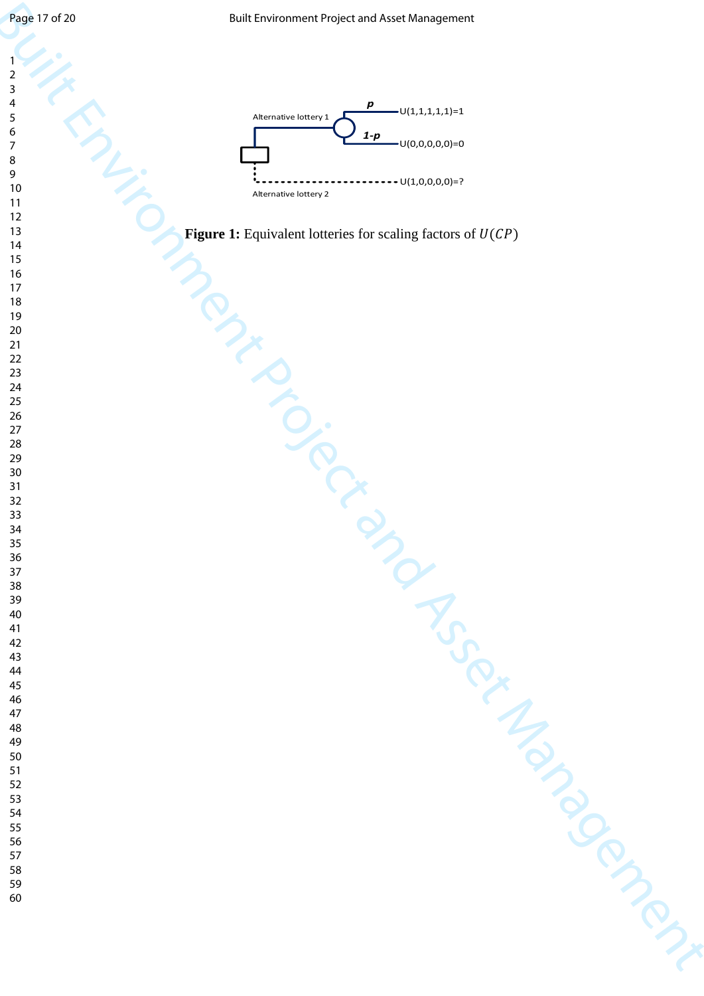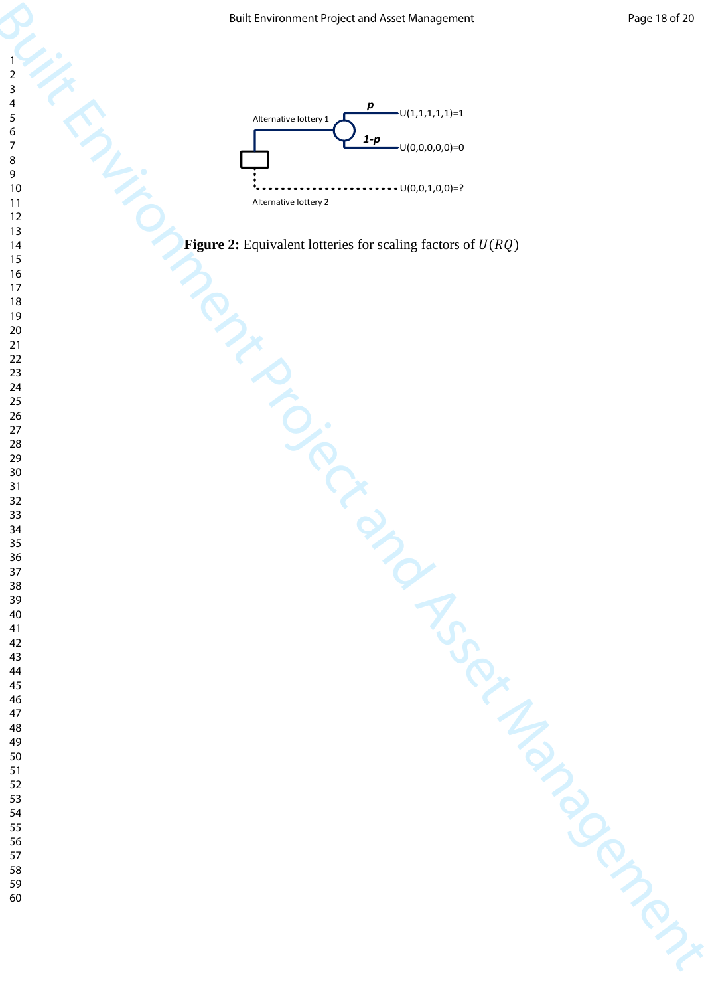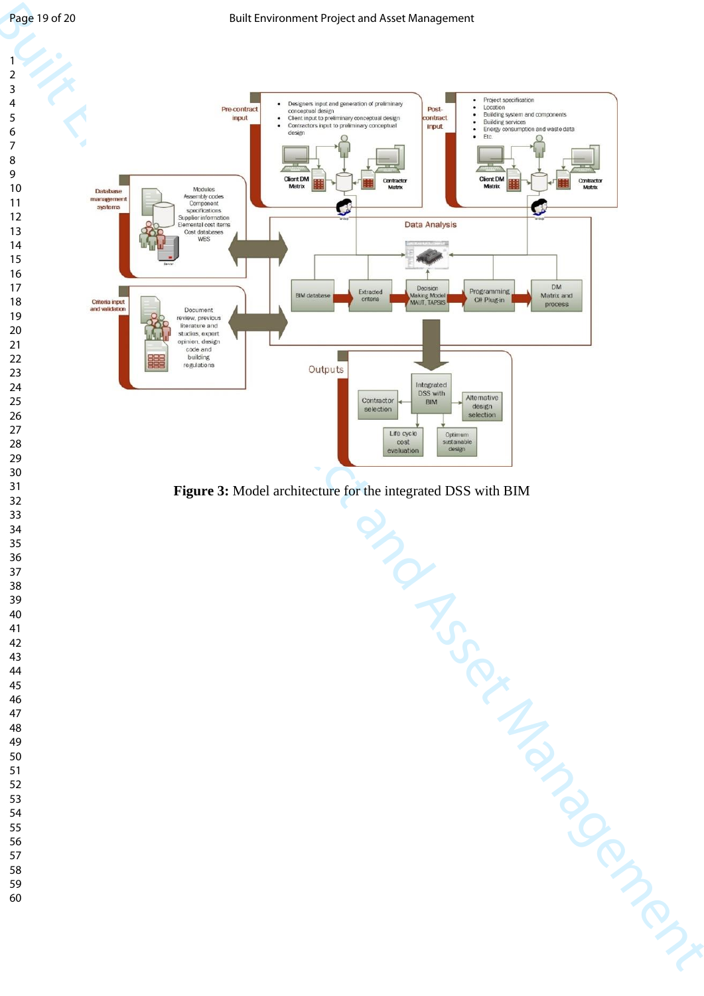

**Figure 3:** Model architecture for the integrated DSS with BIM